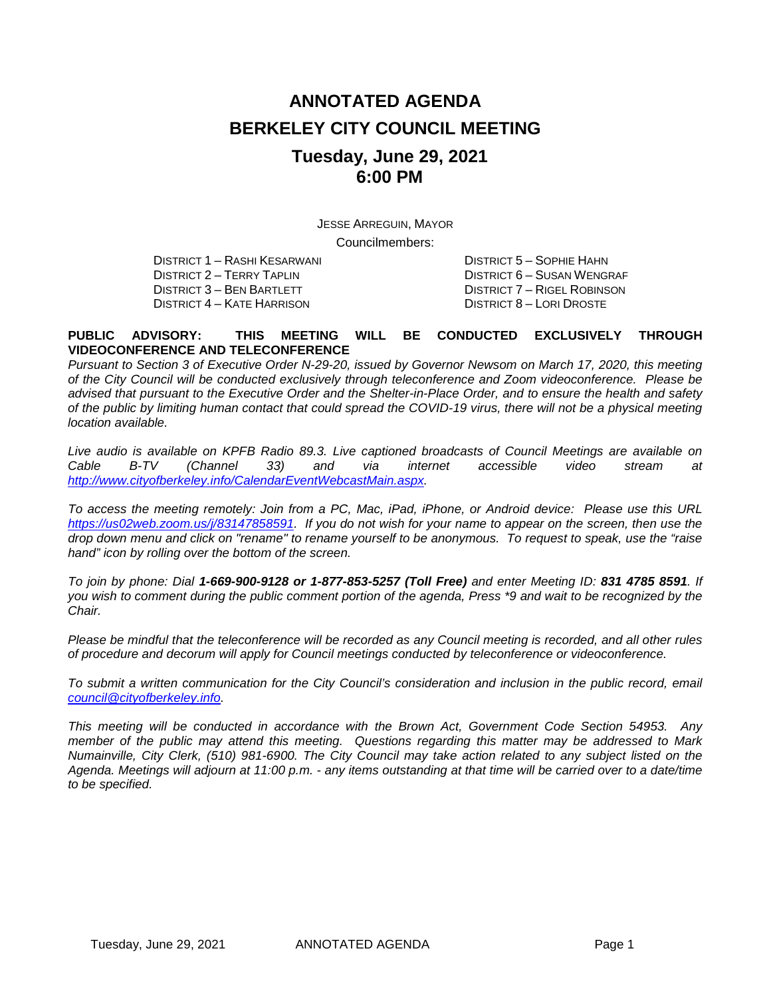# **ANNOTATED AGENDA BERKELEY CITY COUNCIL MEETING Tuesday, June 29, 2021 6:00 PM**

JESSE ARREGUIN, MAYOR Councilmembers:

DISTRICT 1 – RASHI KESARWANI DISTRICT 5 – SOPHIE HAHN DISTRICT 4 – KATE HARRISON

DISTRICT 2 – TERRY TAPLIN DISTRICT 6 – SUSAN WENGRAF DISTRICT 6 – SUSAN WENGRAF DISTRICT 3 – BEN BARTLETT DISTRICT 7 – RIGEL ROBINSON<br>DISTRICT 8 – LORI DROSTE

#### **PUBLIC ADVISORY: THIS MEETING WILL BE CONDUCTED EXCLUSIVELY THROUGH VIDEOCONFERENCE AND TELECONFERENCE**

*Pursuant to Section 3 of Executive Order N-29-20, issued by Governor Newsom on March 17, 2020, this meeting of the City Council will be conducted exclusively through teleconference and Zoom videoconference. Please be advised that pursuant to the Executive Order and the Shelter-in-Place Order, and to ensure the health and safety of the public by limiting human contact that could spread the COVID-19 virus, there will not be a physical meeting location available.* 

*Live audio is available on KPFB Radio 89.3. Live captioned broadcasts of Council Meetings are available on Cable B-TV (Channel 33) and via internet accessible video stream at [http://www.cityofberkeley.info/CalendarEventWebcastMain.aspx.](http://www.cityofberkeley.info/CalendarEventWebcastMain.aspx)*

*To access the meeting remotely: Join from a PC, Mac, iPad, iPhone, or Android device: Please use this URL [https://us02web.zoom.us/j/83147858591.](https://us02web.zoom.us/j/83147858591) If you do not wish for your name to appear on the screen, then use the drop down menu and click on "rename" to rename yourself to be anonymous. To request to speak, use the "raise hand" icon by rolling over the bottom of the screen.* 

*To join by phone: Dial 1-669-900-9128 or 1-877-853-5257 (Toll Free) and enter Meeting ID: 831 4785 8591. If you wish to comment during the public comment portion of the agenda, Press \*9 and wait to be recognized by the Chair.* 

*Please be mindful that the teleconference will be recorded as any Council meeting is recorded, and all other rules of procedure and decorum will apply for Council meetings conducted by teleconference or videoconference.*

*To submit a written communication for the City Council's consideration and inclusion in the public record, email [council@cityofberkeley.info.](mailto:council@cityofberkeley.info)*

*This meeting will be conducted in accordance with the Brown Act, Government Code Section 54953. Any member of the public may attend this meeting. Questions regarding this matter may be addressed to Mark Numainville, City Clerk, (510) 981-6900. The City Council may take action related to any subject listed on the Agenda. Meetings will adjourn at 11:00 p.m. - any items outstanding at that time will be carried over to a date/time to be specified.*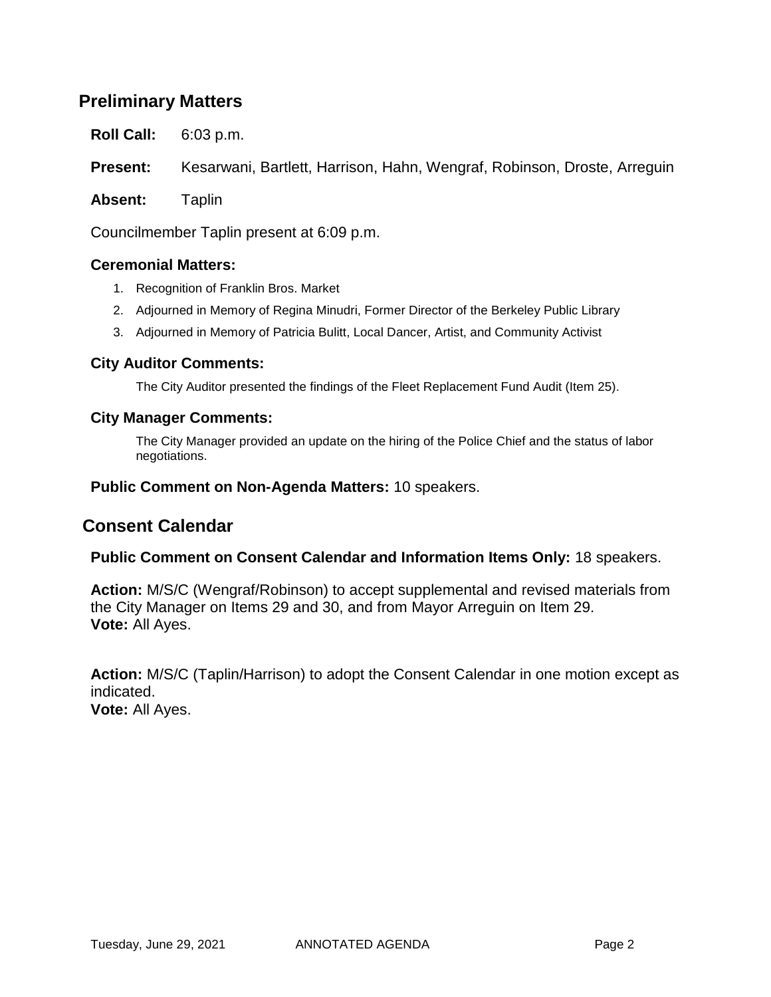## **Preliminary Matters**

**Roll Call:** 6:03 p.m.

**Present:** Kesarwani, Bartlett, Harrison, Hahn, Wengraf, Robinson, Droste, Arreguin

**Absent:** Taplin

Councilmember Taplin present at 6:09 p.m.

### **Ceremonial Matters:**

- 1. Recognition of Franklin Bros. Market
- 2. Adjourned in Memory of Regina Minudri, Former Director of the Berkeley Public Library
- 3. Adjourned in Memory of Patricia Bulitt, Local Dancer, Artist, and Community Activist

### **City Auditor Comments:**

The City Auditor presented the findings of the Fleet Replacement Fund Audit (Item 25).

#### **City Manager Comments:**

The City Manager provided an update on the hiring of the Police Chief and the status of labor negotiations.

**Public Comment on Non-Agenda Matters:** 10 speakers.

## **Consent Calendar**

#### **Public Comment on Consent Calendar and Information Items Only:** 18 speakers.

**Action:** M/S/C (Wengraf/Robinson) to accept supplemental and revised materials from the City Manager on Items 29 and 30, and from Mayor Arreguin on Item 29. **Vote:** All Ayes.

**Action:** M/S/C (Taplin/Harrison) to adopt the Consent Calendar in one motion except as indicated. **Vote:** All Ayes.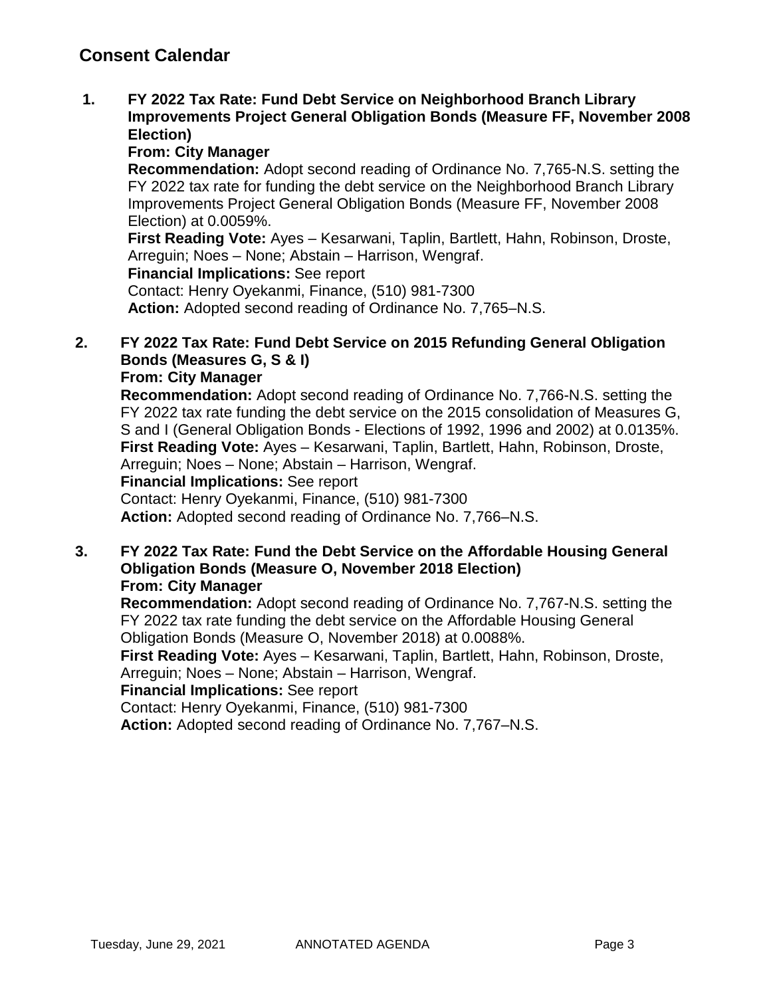**1. FY 2022 Tax Rate: Fund Debt Service on Neighborhood Branch Library Improvements Project General Obligation Bonds (Measure FF, November 2008 Election)**

## **From: City Manager**

**Recommendation:** Adopt second reading of Ordinance No. 7,765-N.S. setting the FY 2022 tax rate for funding the debt service on the Neighborhood Branch Library Improvements Project General Obligation Bonds (Measure FF, November 2008 Election) at 0.0059%.

**First Reading Vote:** Ayes – Kesarwani, Taplin, Bartlett, Hahn, Robinson, Droste, Arreguin; Noes – None; Abstain – Harrison, Wengraf. **Financial Implications:** See report

Contact: Henry Oyekanmi, Finance, (510) 981-7300 **Action:** Adopted second reading of Ordinance No. 7,765–N.S.

## **2. FY 2022 Tax Rate: Fund Debt Service on 2015 Refunding General Obligation Bonds (Measures G, S & I)**

### **From: City Manager**

**Recommendation:** Adopt second reading of Ordinance No. 7,766-N.S. setting the FY 2022 tax rate funding the debt service on the 2015 consolidation of Measures G, S and I (General Obligation Bonds - Elections of 1992, 1996 and 2002) at 0.0135%. **First Reading Vote:** Ayes – Kesarwani, Taplin, Bartlett, Hahn, Robinson, Droste, Arreguin; Noes – None; Abstain – Harrison, Wengraf. **Financial Implications:** See report Contact: Henry Oyekanmi, Finance, (510) 981-7300 **Action:** Adopted second reading of Ordinance No. 7,766–N.S.

**3. FY 2022 Tax Rate: Fund the Debt Service on the Affordable Housing General Obligation Bonds (Measure O, November 2018 Election) From: City Manager**

**Recommendation:** Adopt second reading of Ordinance No. 7,767-N.S. setting the FY 2022 tax rate funding the debt service on the Affordable Housing General Obligation Bonds (Measure O, November 2018) at 0.0088%.

**First Reading Vote:** Ayes – Kesarwani, Taplin, Bartlett, Hahn, Robinson, Droste, Arreguin; Noes – None; Abstain – Harrison, Wengraf.

### **Financial Implications:** See report

Contact: Henry Oyekanmi, Finance, (510) 981-7300

**Action:** Adopted second reading of Ordinance No. 7,767–N.S.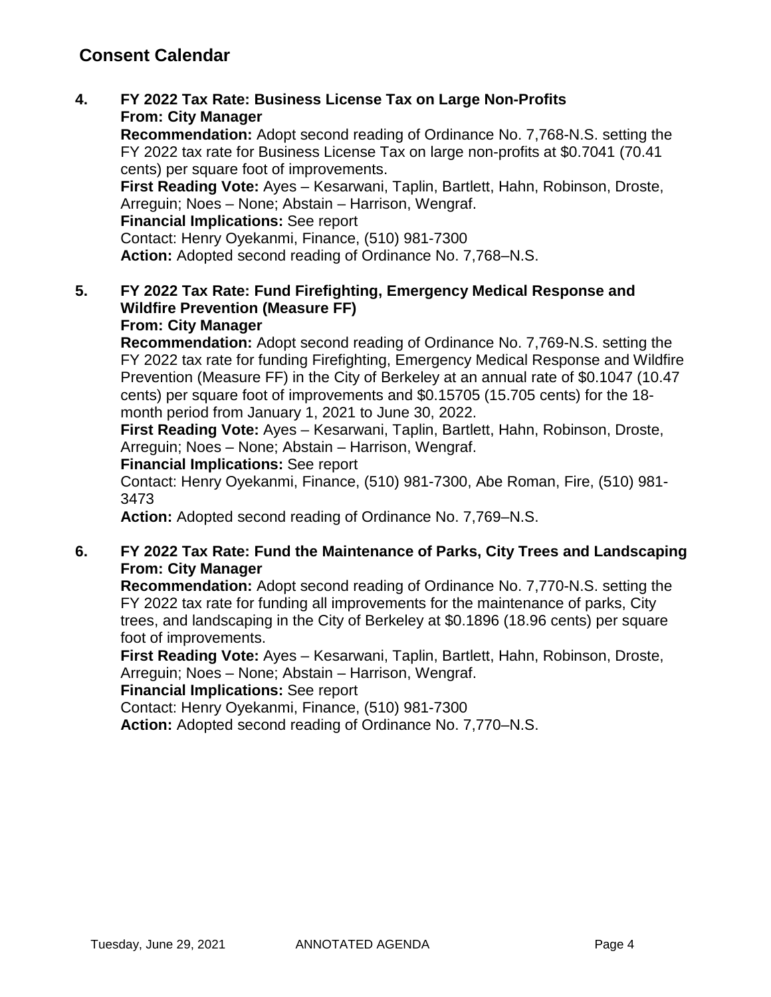**4. FY 2022 Tax Rate: Business License Tax on Large Non-Profits From: City Manager**

**Recommendation:** Adopt second reading of Ordinance No. 7,768-N.S. setting the FY 2022 tax rate for Business License Tax on large non-profits at \$0.7041 (70.41 cents) per square foot of improvements.

**First Reading Vote:** Ayes – Kesarwani, Taplin, Bartlett, Hahn, Robinson, Droste, Arreguin; Noes – None; Abstain – Harrison, Wengraf.

**Financial Implications:** See report

Contact: Henry Oyekanmi, Finance, (510) 981-7300 **Action:** Adopted second reading of Ordinance No. 7,768–N.S.

### **5. FY 2022 Tax Rate: Fund Firefighting, Emergency Medical Response and Wildfire Prevention (Measure FF) From: City Manager**

**Recommendation:** Adopt second reading of Ordinance No. 7,769-N.S. setting the FY 2022 tax rate for funding Firefighting, Emergency Medical Response and Wildfire Prevention (Measure FF) in the City of Berkeley at an annual rate of \$0.1047 (10.47 cents) per square foot of improvements and \$0.15705 (15.705 cents) for the 18 month period from January 1, 2021 to June 30, 2022.

**First Reading Vote:** Ayes – Kesarwani, Taplin, Bartlett, Hahn, Robinson, Droste, Arreguin; Noes – None; Abstain – Harrison, Wengraf.

### **Financial Implications:** See report

Contact: Henry Oyekanmi, Finance, (510) 981-7300, Abe Roman, Fire, (510) 981- 3473

**Action:** Adopted second reading of Ordinance No. 7,769–N.S.

### **6. FY 2022 Tax Rate: Fund the Maintenance of Parks, City Trees and Landscaping From: City Manager**

**Recommendation:** Adopt second reading of Ordinance No. 7,770-N.S. setting the FY 2022 tax rate for funding all improvements for the maintenance of parks, City trees, and landscaping in the City of Berkeley at \$0.1896 (18.96 cents) per square foot of improvements.

**First Reading Vote:** Ayes – Kesarwani, Taplin, Bartlett, Hahn, Robinson, Droste, Arreguin; Noes – None; Abstain – Harrison, Wengraf.

## **Financial Implications:** See report

Contact: Henry Oyekanmi, Finance, (510) 981-7300

**Action:** Adopted second reading of Ordinance No. 7,770–N.S.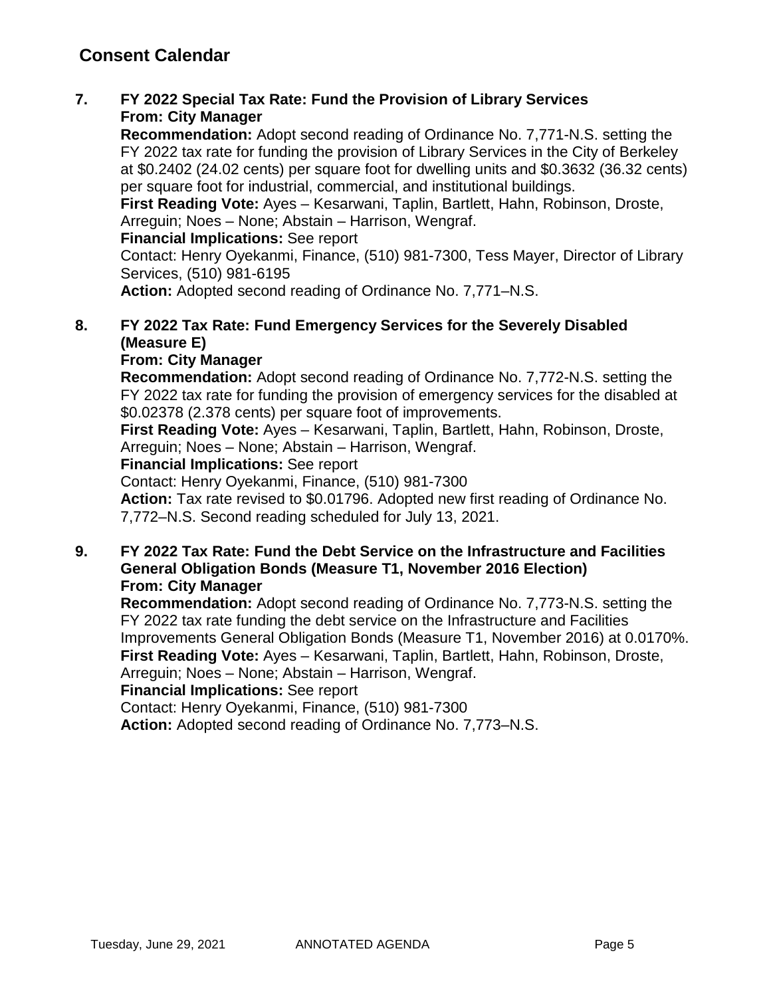### **7. FY 2022 Special Tax Rate: Fund the Provision of Library Services From: City Manager**

**Recommendation:** Adopt second reading of Ordinance No. 7,771-N.S. setting the FY 2022 tax rate for funding the provision of Library Services in the City of Berkeley at \$0.2402 (24.02 cents) per square foot for dwelling units and \$0.3632 (36.32 cents) per square foot for industrial, commercial, and institutional buildings.

**First Reading Vote:** Ayes – Kesarwani, Taplin, Bartlett, Hahn, Robinson, Droste, Arreguin; Noes – None; Abstain – Harrison, Wengraf.

### **Financial Implications:** See report

Contact: Henry Oyekanmi, Finance, (510) 981-7300, Tess Mayer, Director of Library Services, (510) 981-6195

**Action:** Adopted second reading of Ordinance No. 7,771–N.S.

## **8. FY 2022 Tax Rate: Fund Emergency Services for the Severely Disabled (Measure E)**

### **From: City Manager**

**Recommendation:** Adopt second reading of Ordinance No. 7,772-N.S. setting the FY 2022 tax rate for funding the provision of emergency services for the disabled at \$0.02378 (2.378 cents) per square foot of improvements.

**First Reading Vote:** Ayes – Kesarwani, Taplin, Bartlett, Hahn, Robinson, Droste, Arreguin; Noes – None; Abstain – Harrison, Wengraf.

### **Financial Implications:** See report

Contact: Henry Oyekanmi, Finance, (510) 981-7300

**Action:** Tax rate revised to \$0.01796. Adopted new first reading of Ordinance No. 7,772–N.S. Second reading scheduled for July 13, 2021.

### **9. FY 2022 Tax Rate: Fund the Debt Service on the Infrastructure and Facilities General Obligation Bonds (Measure T1, November 2016 Election) From: City Manager**

**Recommendation:** Adopt second reading of Ordinance No. 7,773-N.S. setting the FY 2022 tax rate funding the debt service on the Infrastructure and Facilities Improvements General Obligation Bonds (Measure T1, November 2016) at 0.0170%. **First Reading Vote:** Ayes – Kesarwani, Taplin, Bartlett, Hahn, Robinson, Droste, Arreguin; Noes – None; Abstain – Harrison, Wengraf.

### **Financial Implications:** See report

Contact: Henry Oyekanmi, Finance, (510) 981-7300

**Action:** Adopted second reading of Ordinance No. 7,773–N.S.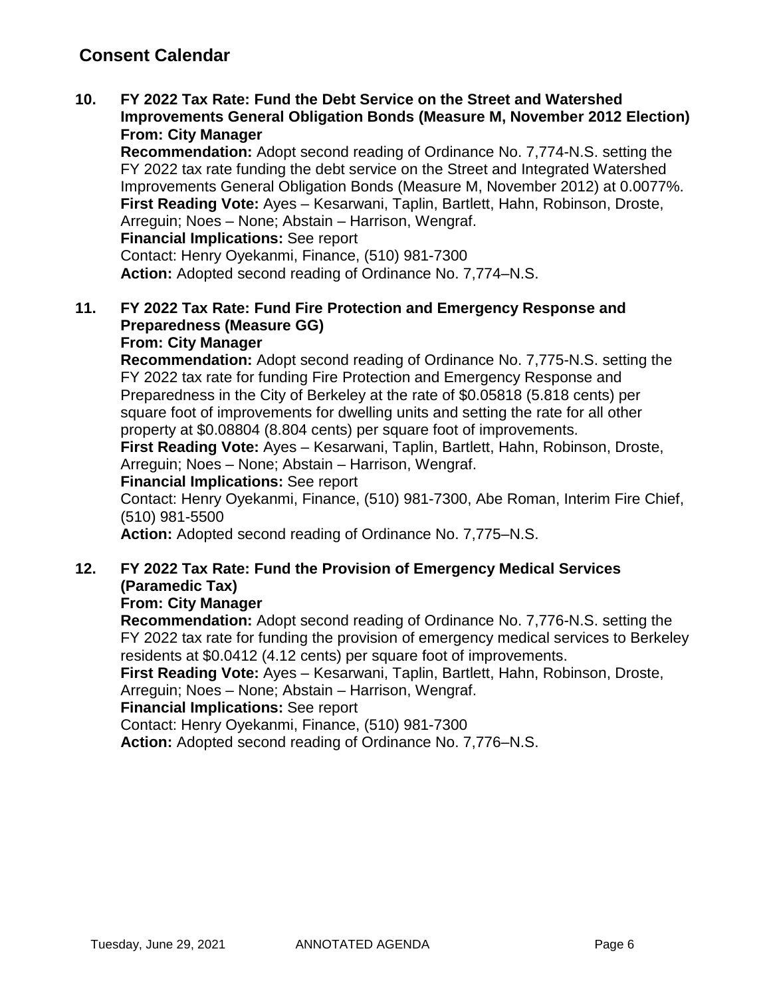**10. FY 2022 Tax Rate: Fund the Debt Service on the Street and Watershed Improvements General Obligation Bonds (Measure M, November 2012 Election) From: City Manager**

**Recommendation:** Adopt second reading of Ordinance No. 7,774-N.S. setting the FY 2022 tax rate funding the debt service on the Street and Integrated Watershed Improvements General Obligation Bonds (Measure M, November 2012) at 0.0077%. **First Reading Vote:** Ayes – Kesarwani, Taplin, Bartlett, Hahn, Robinson, Droste, Arreguin; Noes – None; Abstain – Harrison, Wengraf.

**Financial Implications:** See report

Contact: Henry Oyekanmi, Finance, (510) 981-7300 **Action:** Adopted second reading of Ordinance No. 7,774–N.S.

### **11. FY 2022 Tax Rate: Fund Fire Protection and Emergency Response and Preparedness (Measure GG) From: City Manager**

### **Recommendation:** Adopt second reading of Ordinance No. 7,775-N.S. setting the FY 2022 tax rate for funding Fire Protection and Emergency Response and Preparedness in the City of Berkeley at the rate of \$0.05818 (5.818 cents) per square foot of improvements for dwelling units and setting the rate for all other property at \$0.08804 (8.804 cents) per square foot of improvements.

**First Reading Vote:** Ayes – Kesarwani, Taplin, Bartlett, Hahn, Robinson, Droste, Arreguin; Noes – None; Abstain – Harrison, Wengraf.

### **Financial Implications:** See report

Contact: Henry Oyekanmi, Finance, (510) 981-7300, Abe Roman, Interim Fire Chief, (510) 981-5500

**Action:** Adopted second reading of Ordinance No. 7,775–N.S.

### **12. FY 2022 Tax Rate: Fund the Provision of Emergency Medical Services (Paramedic Tax)**

### **From: City Manager**

**Recommendation:** Adopt second reading of Ordinance No. 7,776-N.S. setting the FY 2022 tax rate for funding the provision of emergency medical services to Berkeley residents at \$0.0412 (4.12 cents) per square foot of improvements.

**First Reading Vote:** Ayes – Kesarwani, Taplin, Bartlett, Hahn, Robinson, Droste, Arreguin; Noes – None; Abstain – Harrison, Wengraf.

### **Financial Implications:** See report

Contact: Henry Oyekanmi, Finance, (510) 981-7300

**Action:** Adopted second reading of Ordinance No. 7,776–N.S.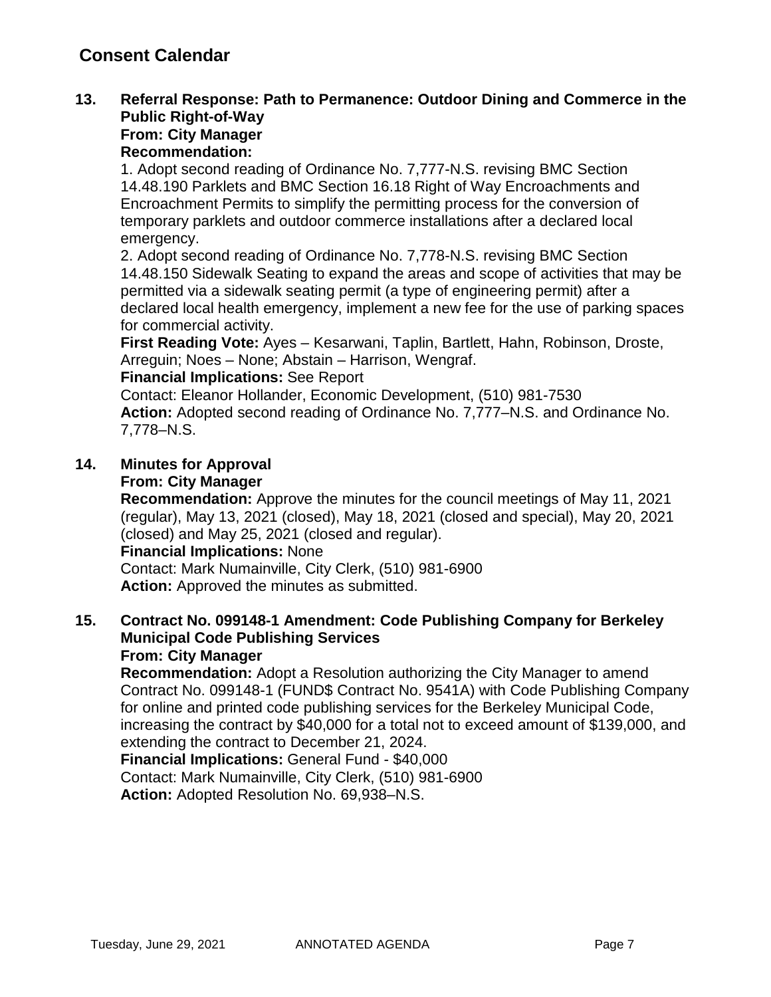### **13. Referral Response: Path to Permanence: Outdoor Dining and Commerce in the Public Right-of-Way From: City Manager**

## **Recommendation:**

1. Adopt second reading of Ordinance No. 7,777-N.S. revising BMC Section 14.48.190 Parklets and BMC Section 16.18 Right of Way Encroachments and Encroachment Permits to simplify the permitting process for the conversion of temporary parklets and outdoor commerce installations after a declared local emergency.

2. Adopt second reading of Ordinance No. 7,778-N.S. revising BMC Section 14.48.150 Sidewalk Seating to expand the areas and scope of activities that may be permitted via a sidewalk seating permit (a type of engineering permit) after a declared local health emergency, implement a new fee for the use of parking spaces for commercial activity.

**First Reading Vote:** Ayes – Kesarwani, Taplin, Bartlett, Hahn, Robinson, Droste, Arreguin; Noes – None; Abstain – Harrison, Wengraf.

### **Financial Implications:** See Report

Contact: Eleanor Hollander, Economic Development, (510) 981-7530 **Action:** Adopted second reading of Ordinance No. 7,777–N.S. and Ordinance No. 7,778–N.S.

## **14. Minutes for Approval**

### **From: City Manager**

**Recommendation:** Approve the minutes for the council meetings of May 11, 2021 (regular), May 13, 2021 (closed), May 18, 2021 (closed and special), May 20, 2021 (closed) and May 25, 2021 (closed and regular).

**Financial Implications:** None

Contact: Mark Numainville, City Clerk, (510) 981-6900 **Action:** Approved the minutes as submitted.

### **15. Contract No. 099148-1 Amendment: Code Publishing Company for Berkeley Municipal Code Publishing Services From: City Manager**

**Recommendation:** Adopt a Resolution authorizing the City Manager to amend Contract No. 099148-1 (FUND\$ Contract No. 9541A) with Code Publishing Company for online and printed code publishing services for the Berkeley Municipal Code, increasing the contract by \$40,000 for a total not to exceed amount of \$139,000, and extending the contract to December 21, 2024.

**Financial Implications:** General Fund - \$40,000

Contact: Mark Numainville, City Clerk, (510) 981-6900 **Action:** Adopted Resolution No. 69,938–N.S.

Tuesday, June 29, 2021 ANNOTATED AGENDA Page 7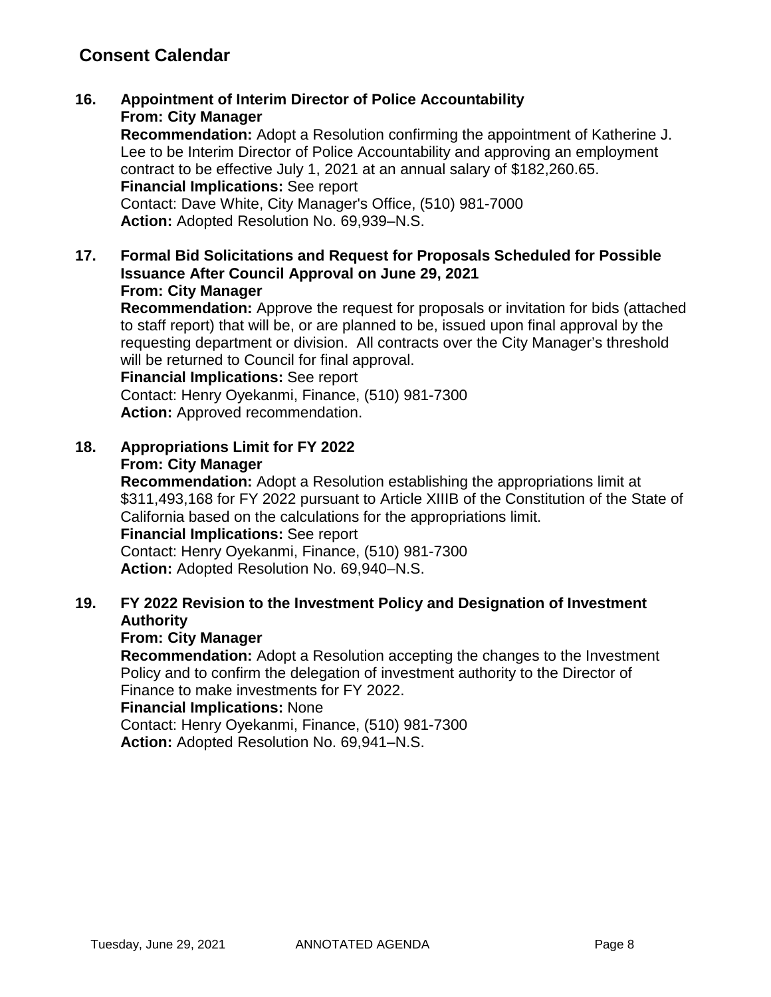**16. Appointment of Interim Director of Police Accountability From: City Manager**

**Recommendation:** Adopt a Resolution confirming the appointment of Katherine J. Lee to be Interim Director of Police Accountability and approving an employment contract to be effective July 1, 2021 at an annual salary of \$182,260.65. **Financial Implications:** See report Contact: Dave White, City Manager's Office, (510) 981-7000 **Action:** Adopted Resolution No. 69,939–N.S.

**17. Formal Bid Solicitations and Request for Proposals Scheduled for Possible Issuance After Council Approval on June 29, 2021 From: City Manager**

**Recommendation:** Approve the request for proposals or invitation for bids (attached to staff report) that will be, or are planned to be, issued upon final approval by the requesting department or division. All contracts over the City Manager's threshold will be returned to Council for final approval.

**Financial Implications:** See report

Contact: Henry Oyekanmi, Finance, (510) 981-7300 **Action:** Approved recommendation.

**18. Appropriations Limit for FY 2022 From: City Manager**

**Recommendation:** Adopt a Resolution establishing the appropriations limit at \$311,493,168 for FY 2022 pursuant to Article XIIIB of the Constitution of the State of California based on the calculations for the appropriations limit. **Financial Implications:** See report Contact: Henry Oyekanmi, Finance, (510) 981-7300

**Action:** Adopted Resolution No. 69,940–N.S.

## **19. FY 2022 Revision to the Investment Policy and Designation of Investment Authority**

### **From: City Manager**

**Recommendation:** Adopt a Resolution accepting the changes to the Investment Policy and to confirm the delegation of investment authority to the Director of Finance to make investments for FY 2022.

**Financial Implications:** None

Contact: Henry Oyekanmi, Finance, (510) 981-7300 **Action:** Adopted Resolution No. 69,941–N.S.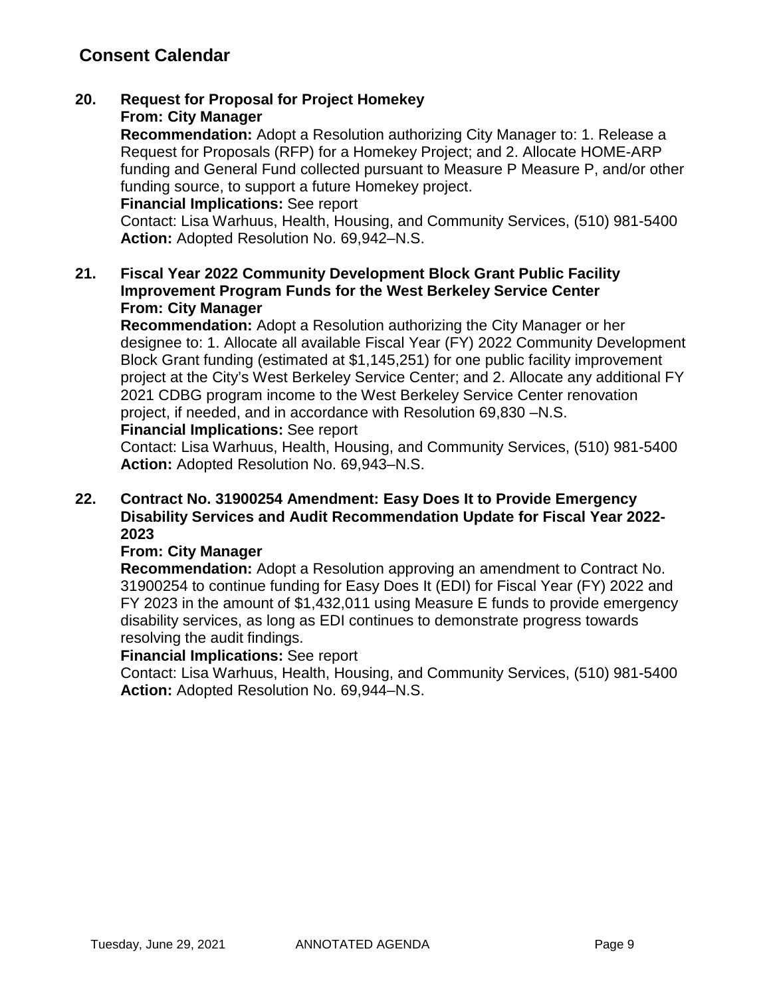#### **20. Request for Proposal for Project Homekey From: City Manager**

**Recommendation:** Adopt a Resolution authorizing City Manager to: 1. Release a Request for Proposals (RFP) for a Homekey Project; and 2. Allocate HOME-ARP funding and General Fund collected pursuant to Measure P Measure P, and/or other funding source, to support a future Homekey project.

### **Financial Implications:** See report

Contact: Lisa Warhuus, Health, Housing, and Community Services, (510) 981-5400 **Action:** Adopted Resolution No. 69,942–N.S.

### **21. Fiscal Year 2022 Community Development Block Grant Public Facility Improvement Program Funds for the West Berkeley Service Center From: City Manager**

**Recommendation:** Adopt a Resolution authorizing the City Manager or her designee to: 1. Allocate all available Fiscal Year (FY) 2022 Community Development Block Grant funding (estimated at \$1,145,251) for one public facility improvement project at the City's West Berkeley Service Center; and 2. Allocate any additional FY 2021 CDBG program income to the West Berkeley Service Center renovation project, if needed, and in accordance with Resolution 69,830 –N.S.

### **Financial Implications:** See report

Contact: Lisa Warhuus, Health, Housing, and Community Services, (510) 981-5400 **Action:** Adopted Resolution No. 69,943–N.S.

### **22. Contract No. 31900254 Amendment: Easy Does It to Provide Emergency Disability Services and Audit Recommendation Update for Fiscal Year 2022- 2023**

### **From: City Manager**

**Recommendation:** Adopt a Resolution approving an amendment to Contract No. 31900254 to continue funding for Easy Does It (EDI) for Fiscal Year (FY) 2022 and FY 2023 in the amount of \$1,432,011 using Measure E funds to provide emergency disability services, as long as EDI continues to demonstrate progress towards resolving the audit findings.

#### **Financial Implications:** See report

Contact: Lisa Warhuus, Health, Housing, and Community Services, (510) 981-5400 **Action:** Adopted Resolution No. 69,944–N.S.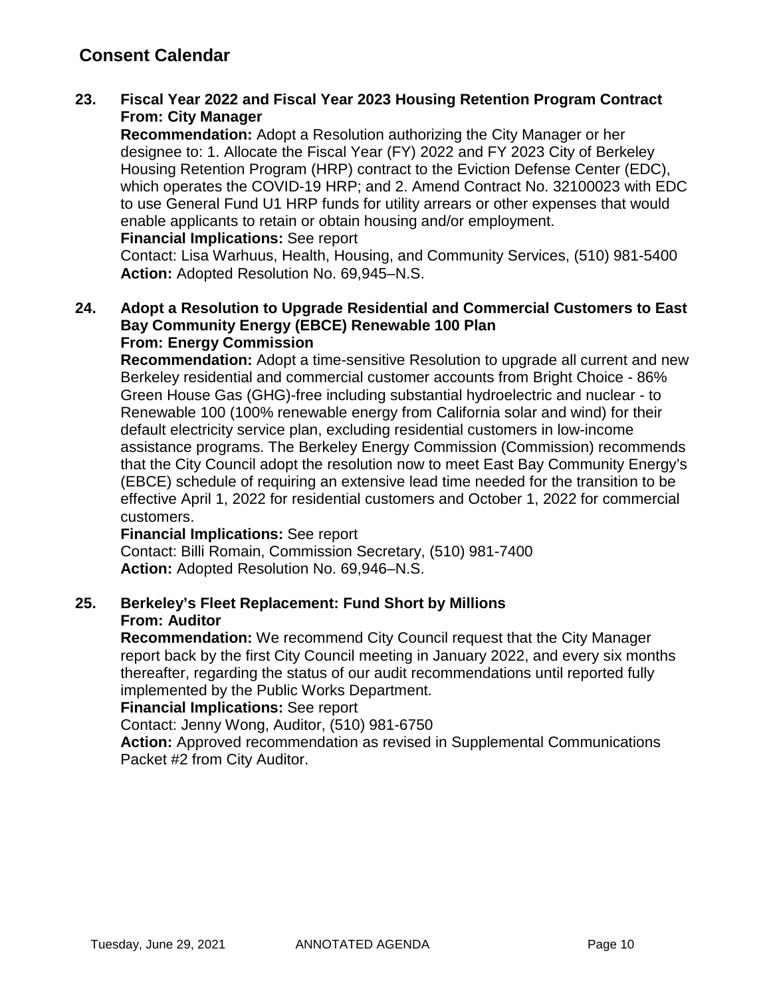### **23. Fiscal Year 2022 and Fiscal Year 2023 Housing Retention Program Contract From: City Manager**

**Recommendation:** Adopt a Resolution authorizing the City Manager or her designee to: 1. Allocate the Fiscal Year (FY) 2022 and FY 2023 City of Berkeley Housing Retention Program (HRP) contract to the Eviction Defense Center (EDC), which operates the COVID-19 HRP; and 2. Amend Contract No. 32100023 with EDC to use General Fund U1 HRP funds for utility arrears or other expenses that would enable applicants to retain or obtain housing and/or employment.

### **Financial Implications:** See report

Contact: Lisa Warhuus, Health, Housing, and Community Services, (510) 981-5400 **Action:** Adopted Resolution No. 69,945–N.S.

#### **24. Adopt a Resolution to Upgrade Residential and Commercial Customers to East Bay Community Energy (EBCE) Renewable 100 Plan From: Energy Commission**

**Recommendation:** Adopt a time-sensitive Resolution to upgrade all current and new Berkeley residential and commercial customer accounts from Bright Choice - 86% Green House Gas (GHG)-free including substantial hydroelectric and nuclear - to Renewable 100 (100% renewable energy from California solar and wind) for their default electricity service plan, excluding residential customers in low-income assistance programs. The Berkeley Energy Commission (Commission) recommends that the City Council adopt the resolution now to meet East Bay Community Energy's (EBCE) schedule of requiring an extensive lead time needed for the transition to be effective April 1, 2022 for residential customers and October 1, 2022 for commercial customers.

### **Financial Implications:** See report

Contact: Billi Romain, Commission Secretary, (510) 981-7400 **Action:** Adopted Resolution No. 69,946–N.S.

### **25. Berkeley's Fleet Replacement: Fund Short by Millions From: Auditor**

**Recommendation:** We recommend City Council request that the City Manager report back by the first City Council meeting in January 2022, and every six months thereafter, regarding the status of our audit recommendations until reported fully implemented by the Public Works Department.

#### **Financial Implications:** See report

Contact: Jenny Wong, Auditor, (510) 981-6750

**Action:** Approved recommendation as revised in Supplemental Communications Packet #2 from City Auditor.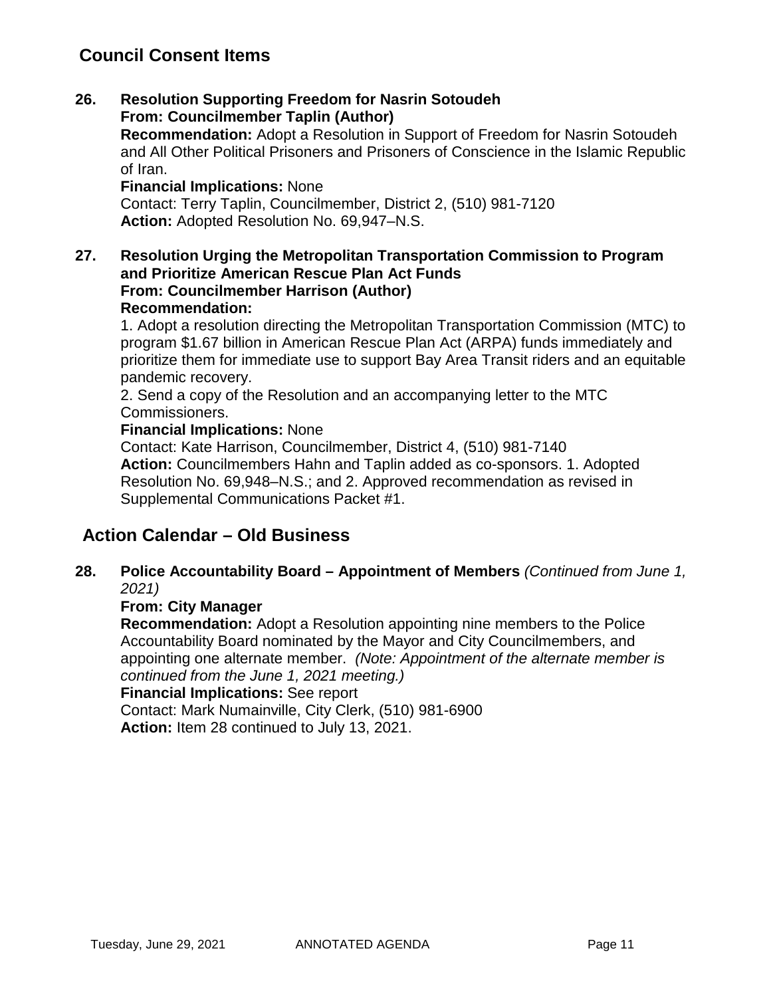## **Council Consent Items**

**26. Resolution Supporting Freedom for Nasrin Sotoudeh From: Councilmember Taplin (Author)**

**Recommendation:** Adopt a Resolution in Support of Freedom for Nasrin Sotoudeh and All Other Political Prisoners and Prisoners of Conscience in the Islamic Republic of Iran.

**Financial Implications:** None

Contact: Terry Taplin, Councilmember, District 2, (510) 981-7120 **Action:** Adopted Resolution No. 69,947–N.S.

**27. Resolution Urging the Metropolitan Transportation Commission to Program and Prioritize American Rescue Plan Act Funds From: Councilmember Harrison (Author) Recommendation:** 

1. Adopt a resolution directing the Metropolitan Transportation Commission (MTC) to program \$1.67 billion in American Rescue Plan Act (ARPA) funds immediately and prioritize them for immediate use to support Bay Area Transit riders and an equitable pandemic recovery.

2. Send a copy of the Resolution and an accompanying letter to the MTC Commissioners.

### **Financial Implications:** None

Contact: Kate Harrison, Councilmember, District 4, (510) 981-7140 **Action:** Councilmembers Hahn and Taplin added as co-sponsors. 1. Adopted Resolution No. 69,948–N.S.; and 2. Approved recommendation as revised in Supplemental Communications Packet #1.

## **Action Calendar – Old Business**

**28. Police Accountability Board – Appointment of Members** *(Continued from June 1, 2021)*

### **From: City Manager**

**Recommendation:** Adopt a Resolution appointing nine members to the Police Accountability Board nominated by the Mayor and City Councilmembers, and appointing one alternate member. *(Note: Appointment of the alternate member is continued from the June 1, 2021 meeting.)*

### **Financial Implications:** See report

Contact: Mark Numainville, City Clerk, (510) 981-6900 **Action:** Item 28 continued to July 13, 2021.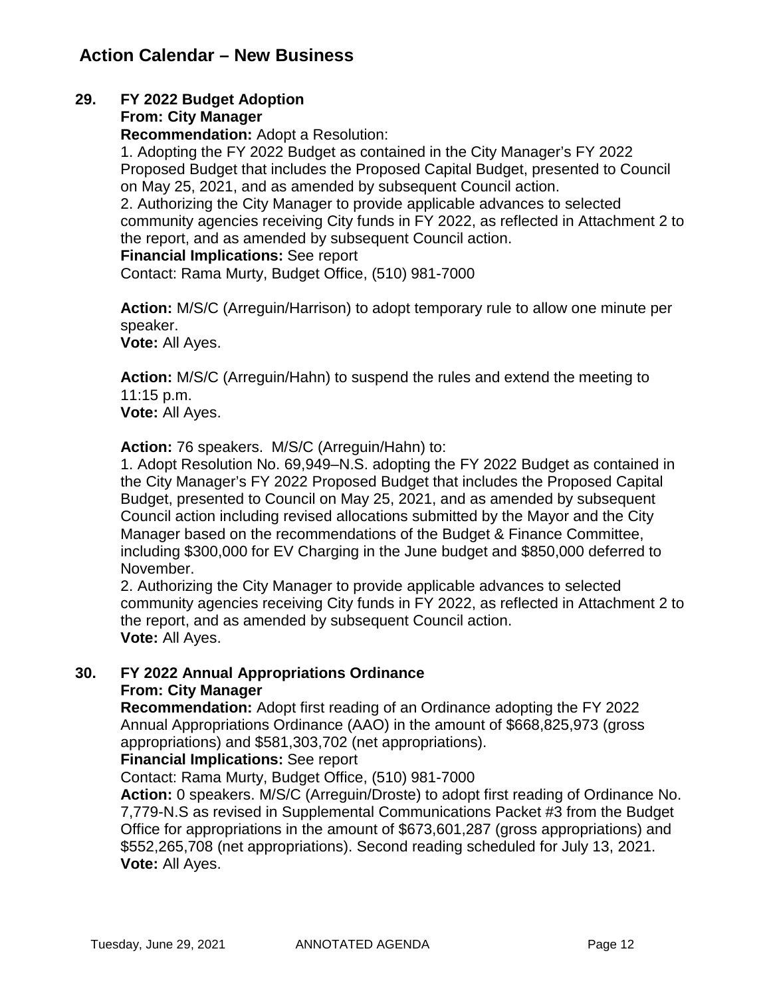## **29. FY 2022 Budget Adoption**

### **From: City Manager**

**Recommendation:** Adopt a Resolution:

1. Adopting the FY 2022 Budget as contained in the City Manager's FY 2022 Proposed Budget that includes the Proposed Capital Budget, presented to Council on May 25, 2021, and as amended by subsequent Council action.

2. Authorizing the City Manager to provide applicable advances to selected community agencies receiving City funds in FY 2022, as reflected in Attachment 2 to the report, and as amended by subsequent Council action.

### **Financial Implications:** See report

Contact: Rama Murty, Budget Office, (510) 981-7000

**Action:** M/S/C (Arreguin/Harrison) to adopt temporary rule to allow one minute per speaker.

**Vote:** All Ayes.

**Action:** M/S/C (Arreguin/Hahn) to suspend the rules and extend the meeting to 11:15 p.m. **Vote:** All Ayes.

**Action:** 76 speakers. M/S/C (Arreguin/Hahn) to:

1. Adopt Resolution No. 69,949–N.S. adopting the FY 2022 Budget as contained in the City Manager's FY 2022 Proposed Budget that includes the Proposed Capital Budget, presented to Council on May 25, 2021, and as amended by subsequent Council action including revised allocations submitted by the Mayor and the City Manager based on the recommendations of the Budget & Finance Committee, including \$300,000 for EV Charging in the June budget and \$850,000 deferred to November.

2. Authorizing the City Manager to provide applicable advances to selected community agencies receiving City funds in FY 2022, as reflected in Attachment 2 to the report, and as amended by subsequent Council action. **Vote:** All Ayes.

# **30. FY 2022 Annual Appropriations Ordinance**

### **From: City Manager**

**Recommendation:** Adopt first reading of an Ordinance adopting the FY 2022 Annual Appropriations Ordinance (AAO) in the amount of \$668,825,973 (gross appropriations) and \$581,303,702 (net appropriations).

### **Financial Implications:** See report

Contact: Rama Murty, Budget Office, (510) 981-7000

**Action:** 0 speakers. M/S/C (Arreguin/Droste) to adopt first reading of Ordinance No. 7,779-N.S as revised in Supplemental Communications Packet #3 from the Budget Office for appropriations in the amount of \$673,601,287 (gross appropriations) and \$552,265,708 (net appropriations). Second reading scheduled for July 13, 2021. **Vote:** All Ayes.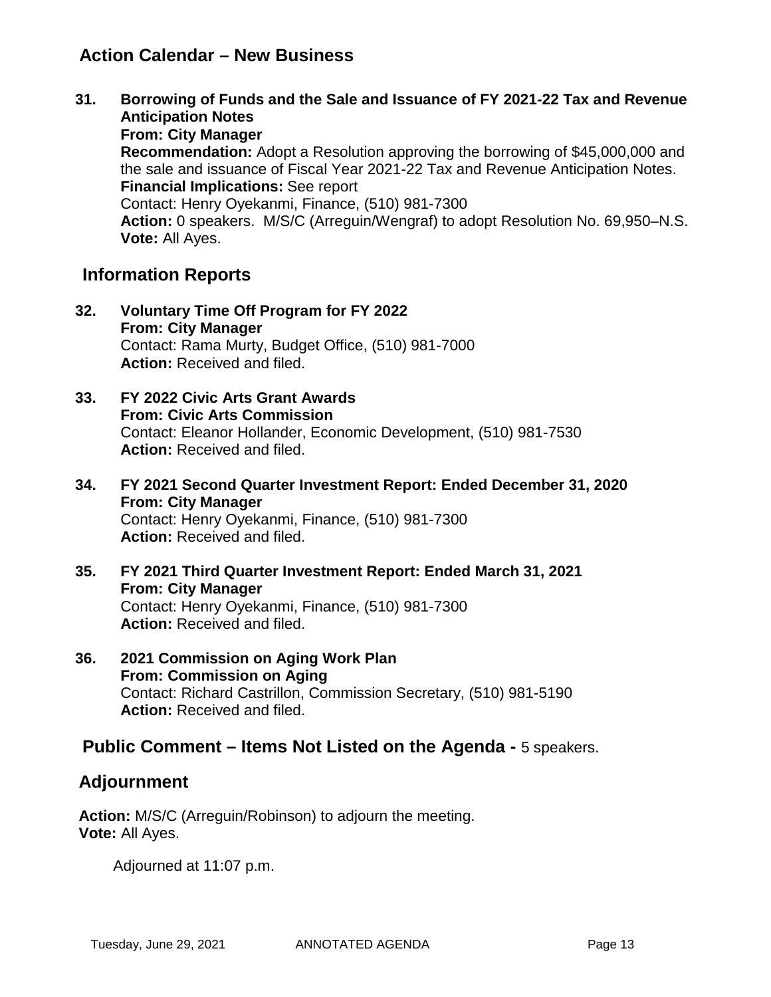## **Action Calendar – New Business**

**31. Borrowing of Funds and the Sale and Issuance of FY 2021-22 Tax and Revenue Anticipation Notes From: City Manager Recommendation:** Adopt a Resolution approving the borrowing of \$45,000,000 and the sale and issuance of Fiscal Year 2021-22 Tax and Revenue Anticipation Notes. **Financial Implications:** See report Contact: Henry Oyekanmi, Finance, (510) 981-7300 **Action:** 0 speakers. M/S/C (Arreguin/Wengraf) to adopt Resolution No. 69,950–N.S. **Vote:** All Ayes.

## **Information Reports**

- **32. Voluntary Time Off Program for FY 2022 From: City Manager** Contact: Rama Murty, Budget Office, (510) 981-7000 **Action:** Received and filed.
- **33. FY 2022 Civic Arts Grant Awards From: Civic Arts Commission** Contact: Eleanor Hollander, Economic Development, (510) 981-7530 **Action:** Received and filed.
- **34. FY 2021 Second Quarter Investment Report: Ended December 31, 2020 From: City Manager** Contact: Henry Oyekanmi, Finance, (510) 981-7300 **Action:** Received and filed.
- **35. FY 2021 Third Quarter Investment Report: Ended March 31, 2021 From: City Manager** Contact: Henry Oyekanmi, Finance, (510) 981-7300 **Action:** Received and filed.
- **36. 2021 Commission on Aging Work Plan From: Commission on Aging** Contact: Richard Castrillon, Commission Secretary, (510) 981-5190 **Action:** Received and filed.

## **Public Comment – Items Not Listed on the Agenda -** 5 speakers.

## **Adjournment**

**Action:** M/S/C (Arreguin/Robinson) to adjourn the meeting. **Vote:** All Ayes.

Adjourned at 11:07 p.m.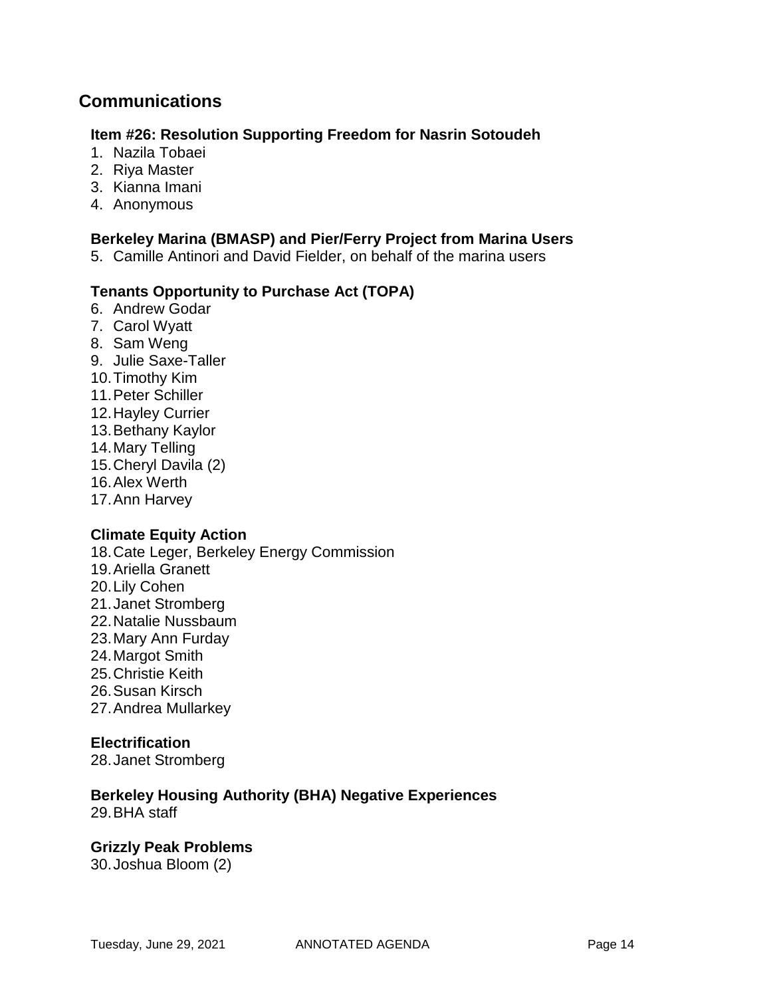## **Communications**

### **Item #26: Resolution Supporting Freedom for Nasrin Sotoudeh**

- 1. Nazila Tobaei
- 2. Riya Master
- 3. Kianna Imani
- 4. Anonymous

### **Berkeley Marina (BMASP) and Pier/Ferry Project from Marina Users**

5. Camille Antinori and David Fielder, on behalf of the marina users

### **Tenants Opportunity to Purchase Act (TOPA)**

- 6. Andrew Godar
- 7. Carol Wyatt
- 8. Sam Weng
- 9. Julie Saxe-Taller
- 10.Timothy Kim
- 11.Peter Schiller
- 12.Hayley Currier
- 13.Bethany Kaylor
- 14.Mary Telling
- 15.Cheryl Davila (2)
- 16.Alex Werth
- 17.Ann Harvey

### **Climate Equity Action**

- 18.Cate Leger, Berkeley Energy Commission
- 19.Ariella Granett
- 20.Lily Cohen
- 21.Janet Stromberg
- 22.Natalie Nussbaum
- 23.Mary Ann Furday
- 24.Margot Smith
- 25.Christie Keith
- 26.Susan Kirsch
- 27.Andrea Mullarkey

### **Electrification**

28.Janet Stromberg

## **Berkeley Housing Authority (BHA) Negative Experiences**

29.BHA staff

### **Grizzly Peak Problems**

30.Joshua Bloom (2)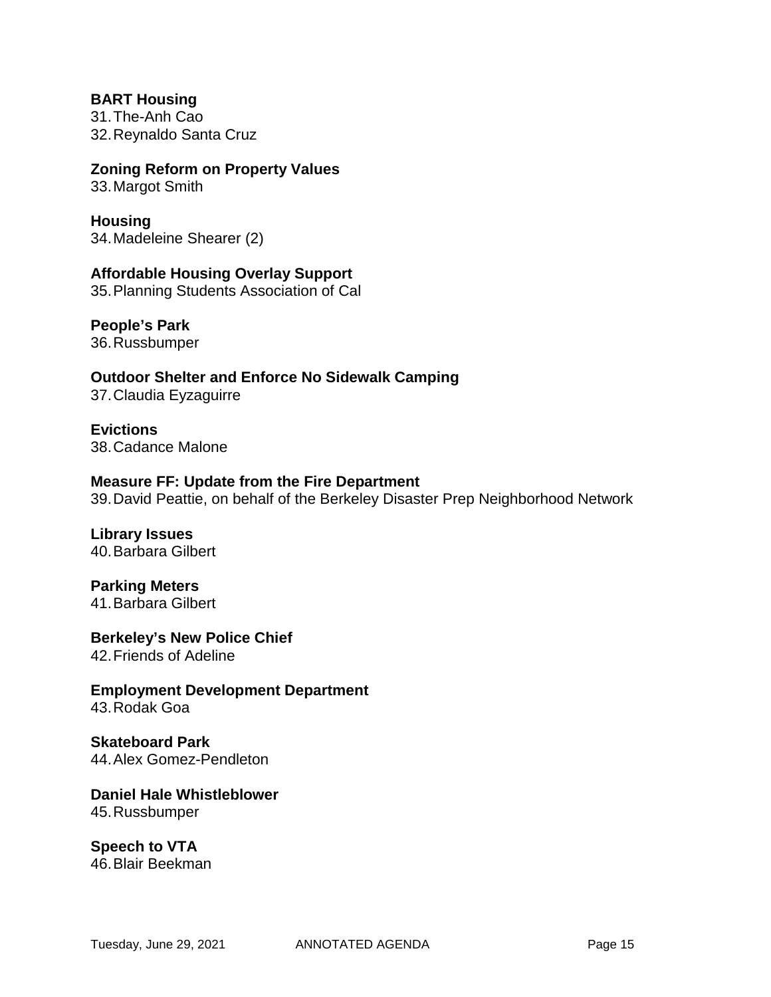**BART Housing** 31.The-Anh Cao 32.Reynaldo Santa Cruz

### **Zoning Reform on Property Values**

33.Margot Smith

## **Housing**

34.Madeleine Shearer (2)

**Affordable Housing Overlay Support** 35.Planning Students Association of Cal

### **People's Park**

36.Russbumper

**Outdoor Shelter and Enforce No Sidewalk Camping** 37.Claudia Eyzaguirre

**Evictions** 38.Cadance Malone

#### **Measure FF: Update from the Fire Department**

39.David Peattie, on behalf of the Berkeley Disaster Prep Neighborhood Network

# **Library Issues**

40.Barbara Gilbert

## **Parking Meters**

41.Barbara Gilbert

# **Berkeley's New Police Chief**

42.Friends of Adeline

**Employment Development Department** 43.Rodak Goa

#### **Skateboard Park** 44.Alex Gomez-Pendleton

#### **Daniel Hale Whistleblower** 45.Russbumper

**Speech to VTA** 46.Blair Beekman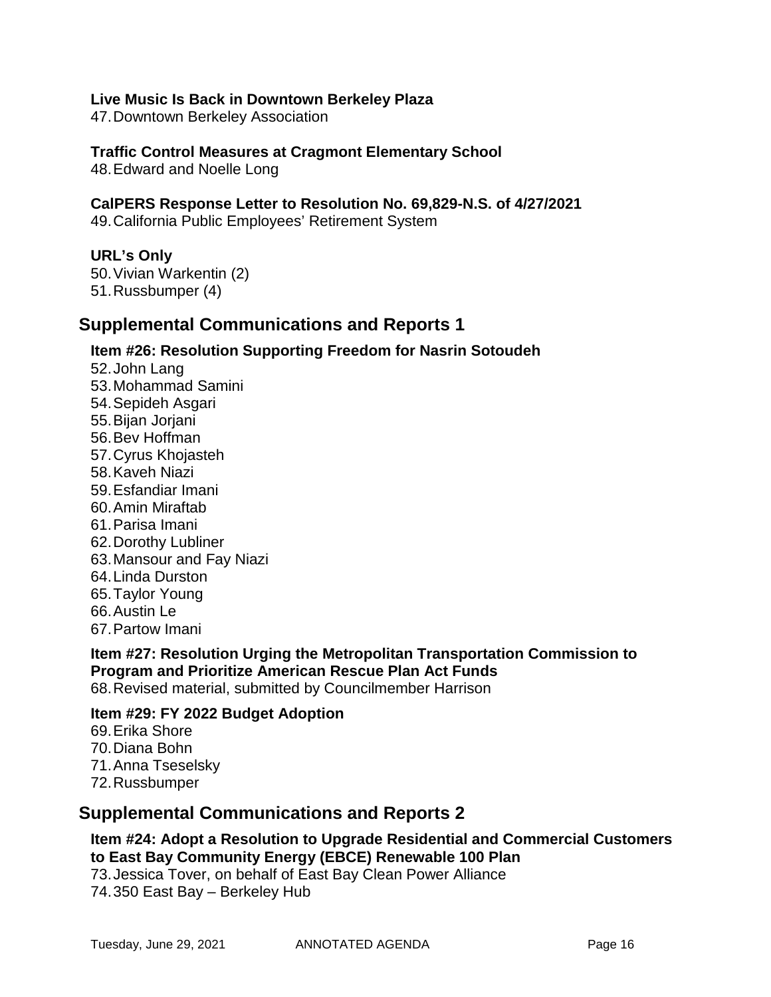### **Live Music Is Back in Downtown Berkeley Plaza**

47.Downtown Berkeley Association

### **Traffic Control Measures at Cragmont Elementary School**

48.Edward and Noelle Long

### **CalPERS Response Letter to Resolution No. 69,829-N.S. of 4/27/2021**

49.California Public Employees' Retirement System

#### **URL's Only**

50.Vivian Warkentin (2) 51.Russbumper (4)

## **Supplemental Communications and Reports 1**

### **Item #26: Resolution Supporting Freedom for Nasrin Sotoudeh**

52.John Lang 53.Mohammad Samini 54.Sepideh Asgari 55.Bijan Jorjani 56.Bev Hoffman 57.Cyrus Khojasteh 58.Kaveh Niazi 59.Esfandiar Imani 60.Amin Miraftab 61.Parisa Imani 62.Dorothy Lubliner 63.Mansour and Fay Niazi 64.Linda Durston 65.Taylor Young 66.Austin Le 67.Partow Imani

## **Item #27: Resolution Urging the Metropolitan Transportation Commission to Program and Prioritize American Rescue Plan Act Funds**

68.Revised material, submitted by Councilmember Harrison

### **Item #29: FY 2022 Budget Adoption**

- 69.Erika Shore
- 70.Diana Bohn
- 71.Anna Tseselsky
- 72.Russbumper

### **Supplemental Communications and Reports 2**

### **Item #24: Adopt a Resolution to Upgrade Residential and Commercial Customers to East Bay Community Energy (EBCE) Renewable 100 Plan**

73.Jessica Tover, on behalf of East Bay Clean Power Alliance 74.350 East Bay – Berkeley Hub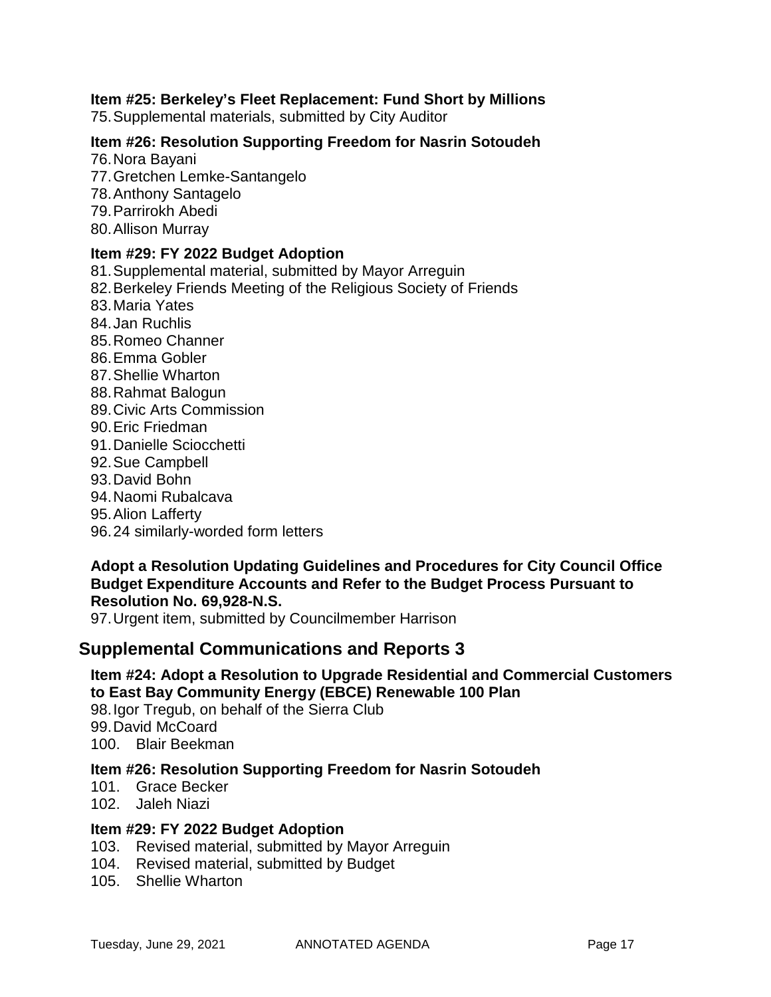### **Item #25: Berkeley's Fleet Replacement: Fund Short by Millions**

75.Supplemental materials, submitted by City Auditor

### **Item #26: Resolution Supporting Freedom for Nasrin Sotoudeh**

- 76.Nora Bayani 77.Gretchen Lemke-Santangelo 78.Anthony Santagelo 79.Parrirokh Abedi
- 80.Allison Murray
- 

### **Item #29: FY 2022 Budget Adoption**

81.Supplemental material, submitted by Mayor Arreguin

- 82.Berkeley Friends Meeting of the Religious Society of Friends
- 83.Maria Yates
- 84.Jan Ruchlis
- 85.Romeo Channer
- 86.Emma Gobler
- 87.Shellie Wharton
- 88.Rahmat Balogun
- 89.Civic Arts Commission
- 90.Eric Friedman
- 91.Danielle Sciocchetti
- 92.Sue Campbell
- 93.David Bohn
- 94.Naomi Rubalcava
- 95.Alion Lafferty
- 96.24 similarly-worded form letters

### **Adopt a Resolution Updating Guidelines and Procedures for City Council Office Budget Expenditure Accounts and Refer to the Budget Process Pursuant to Resolution No. 69,928-N.S.**

97.Urgent item, submitted by Councilmember Harrison

## **Supplemental Communications and Reports 3**

## **Item #24: Adopt a Resolution to Upgrade Residential and Commercial Customers to East Bay Community Energy (EBCE) Renewable 100 Plan**

98.Igor Tregub, on behalf of the Sierra Club 99.David McCoard 100. Blair Beekman

### **Item #26: Resolution Supporting Freedom for Nasrin Sotoudeh**

- 101. Grace Becker
- 102. Jaleh Niazi

### **Item #29: FY 2022 Budget Adoption**

- 103. Revised material, submitted by Mayor Arreguin
- 104. Revised material, submitted by Budget
- 105. Shellie Wharton